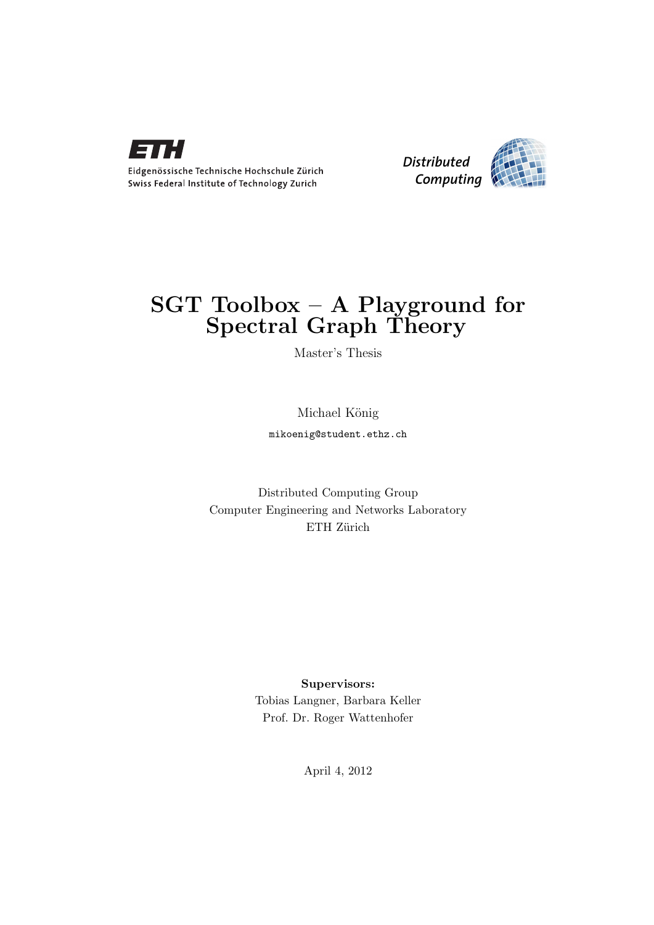



## $SGT$  Toolbox – A Playground for Spectral Graph Theory

Master's Thesis

Michael König

mikoenig@student.ethz.ch

Distributed Computing Group Computer Engineering and Networks Laboratory ETH Zürich

> Supervisors: Tobias Langner, Barbara Keller Prof. Dr. Roger Wattenhofer

> > April 4, 2012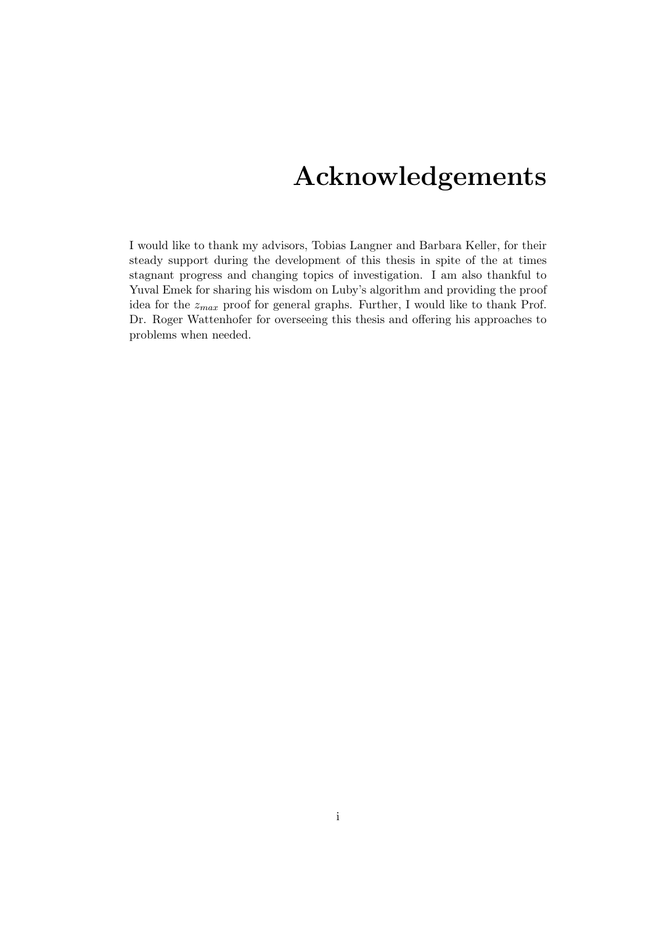## Acknowledgements

<span id="page-1-0"></span>I would like to thank my advisors, Tobias Langner and Barbara Keller, for their steady support during the development of this thesis in spite of the at times stagnant progress and changing topics of investigation. I am also thankful to Yuval Emek for sharing his wisdom on Luby's algorithm and providing the proof idea for the  $z_{max}$  proof for general graphs. Further, I would like to thank Prof. Dr. Roger Wattenhofer for overseeing this thesis and offering his approaches to problems when needed.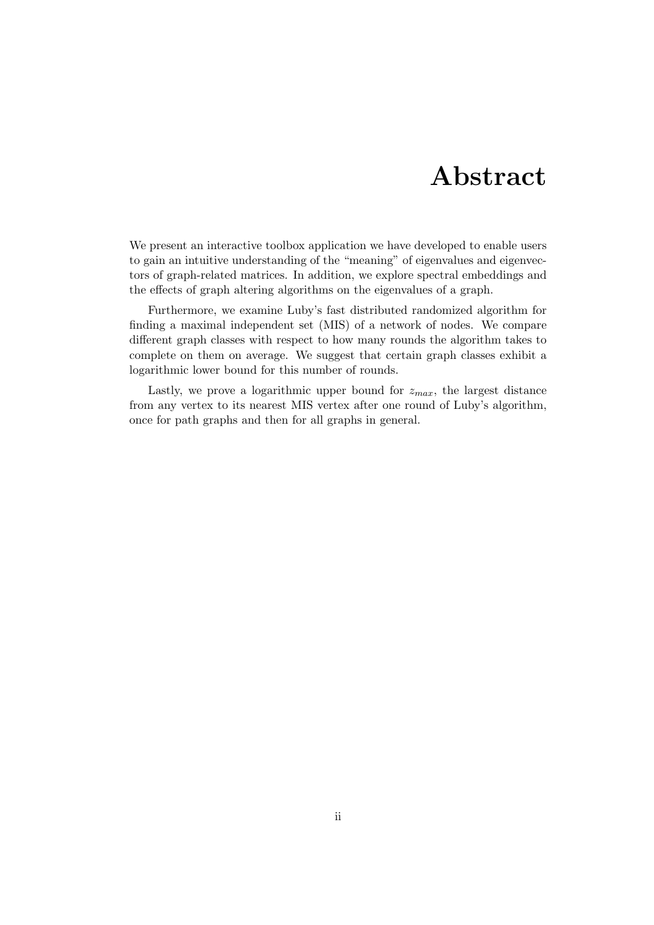## Abstract

<span id="page-2-0"></span>We present an interactive toolbox application we have developed to enable users to gain an intuitive understanding of the "meaning" of eigenvalues and eigenvectors of graph-related matrices. In addition, we explore spectral embeddings and the effects of graph altering algorithms on the eigenvalues of a graph.

Furthermore, we examine Luby's fast distributed randomized algorithm for finding a maximal independent set (MIS) of a network of nodes. We compare different graph classes with respect to how many rounds the algorithm takes to complete on them on average. We suggest that certain graph classes exhibit a logarithmic lower bound for this number of rounds.

Lastly, we prove a logarithmic upper bound for  $z_{max}$ , the largest distance from any vertex to its nearest MIS vertex after one round of Luby's algorithm, once for path graphs and then for all graphs in general.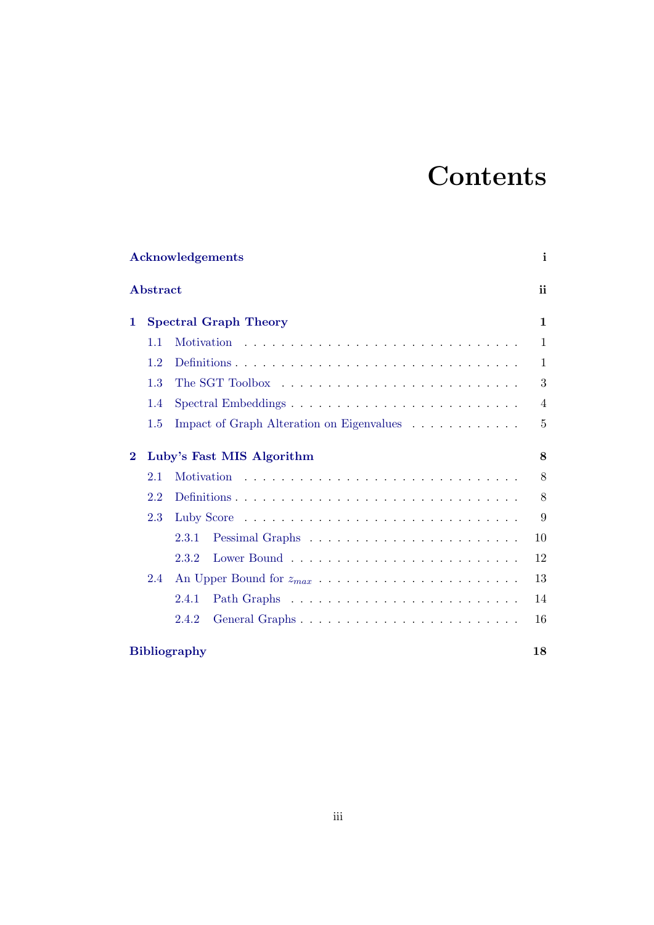# **Contents**

| <b>Acknowledgements</b><br><b>Abstract</b> |                           |                                                                                   |                |  |  |  |  |  |
|--------------------------------------------|---------------------------|-----------------------------------------------------------------------------------|----------------|--|--|--|--|--|
|                                            |                           |                                                                                   |                |  |  |  |  |  |
|                                            | 1.1                       | Motivation                                                                        | $\mathbf{1}$   |  |  |  |  |  |
|                                            | 1.2                       | Definitions                                                                       | $\mathbf{1}$   |  |  |  |  |  |
|                                            | 1.3                       |                                                                                   | 3              |  |  |  |  |  |
|                                            | 1.4                       | $Spectral\, Embeddings\, \ldots \ldots \ldots \ldots \ldots \ldots \ldots \ldots$ | $\overline{4}$ |  |  |  |  |  |
|                                            | $1.5\,$                   | Impact of Graph Alteration on Eigenvalues                                         | $\overline{5}$ |  |  |  |  |  |
| $\bf{2}$                                   | Luby's Fast MIS Algorithm |                                                                                   |                |  |  |  |  |  |
|                                            | 2.1                       | Motivation                                                                        | 8              |  |  |  |  |  |
|                                            | 2.2                       |                                                                                   | 8              |  |  |  |  |  |
|                                            | 2.3                       |                                                                                   | 9              |  |  |  |  |  |
|                                            |                           | 2.3.1                                                                             | 10             |  |  |  |  |  |
|                                            |                           | 2.3.2                                                                             | 12             |  |  |  |  |  |
|                                            | 2.4                       |                                                                                   | 13             |  |  |  |  |  |
|                                            |                           | 2.4.1                                                                             | 14             |  |  |  |  |  |
|                                            |                           | General Graphs<br>2.4.2                                                           | 16             |  |  |  |  |  |
|                                            |                           | <b>Bibliography</b>                                                               | 18             |  |  |  |  |  |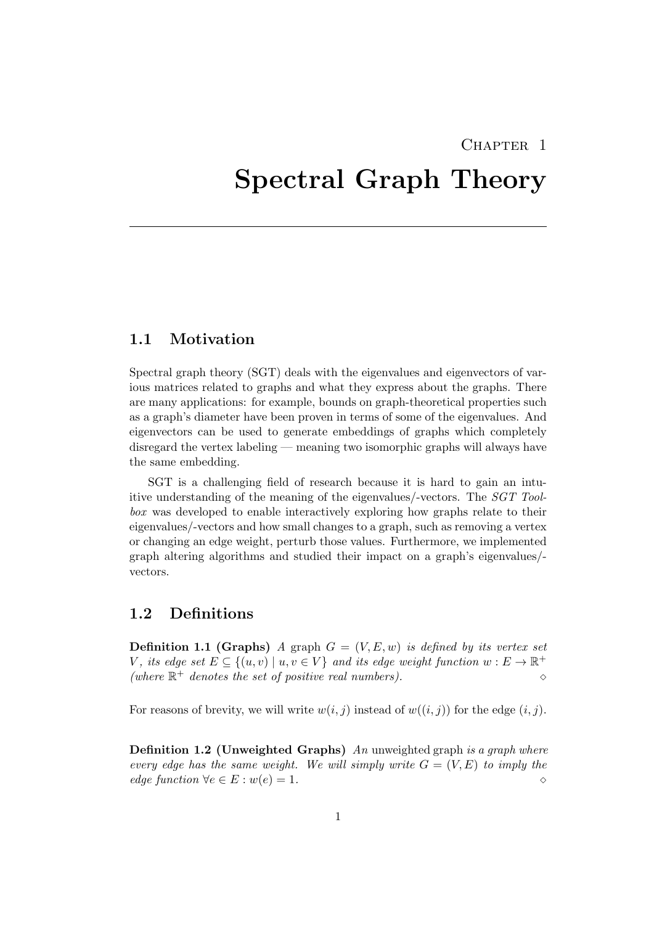## CHAPTER<sub>1</sub>

## <span id="page-4-0"></span>Spectral Graph Theory

### <span id="page-4-1"></span>1.1 Motivation

Spectral graph theory (SGT) deals with the eigenvalues and eigenvectors of various matrices related to graphs and what they express about the graphs. There are many applications: for example, bounds on graph-theoretical properties such as a graph's diameter have been proven in terms of some of the eigenvalues. And eigenvectors can be used to generate embeddings of graphs which completely disregard the vertex labeling — meaning two isomorphic graphs will always have the same embedding.

SGT is a challenging field of research because it is hard to gain an intuitive understanding of the meaning of the eigenvalues/-vectors. The SGT Toolbox was developed to enable interactively exploring how graphs relate to their eigenvalues/-vectors and how small changes to a graph, such as removing a vertex or changing an edge weight, perturb those values. Furthermore, we implemented graph altering algorithms and studied their impact on a graph's eigenvalues/ vectors.

### <span id="page-4-2"></span>1.2 Definitions

**Definition 1.1 (Graphs)** A graph  $G = (V, E, w)$  is defined by its vertex set V, its edge set  $E \subseteq \{(u, v) \mid u, v \in V\}$  and its edge weight function  $w : E \to \mathbb{R}^+$ (where  $\mathbb{R}^+$  denotes the set of positive real numbers).

For reasons of brevity, we will write  $w(i, j)$  instead of  $w((i, j))$  for the edge  $(i, j)$ .

**Definition 1.2 (Unweighted Graphs)** An unweighted graph is a graph where every edge has the same weight. We will simply write  $G = (V, E)$  to imply the edge function  $\forall e \in E : w(e) = 1.$   $\Diamond$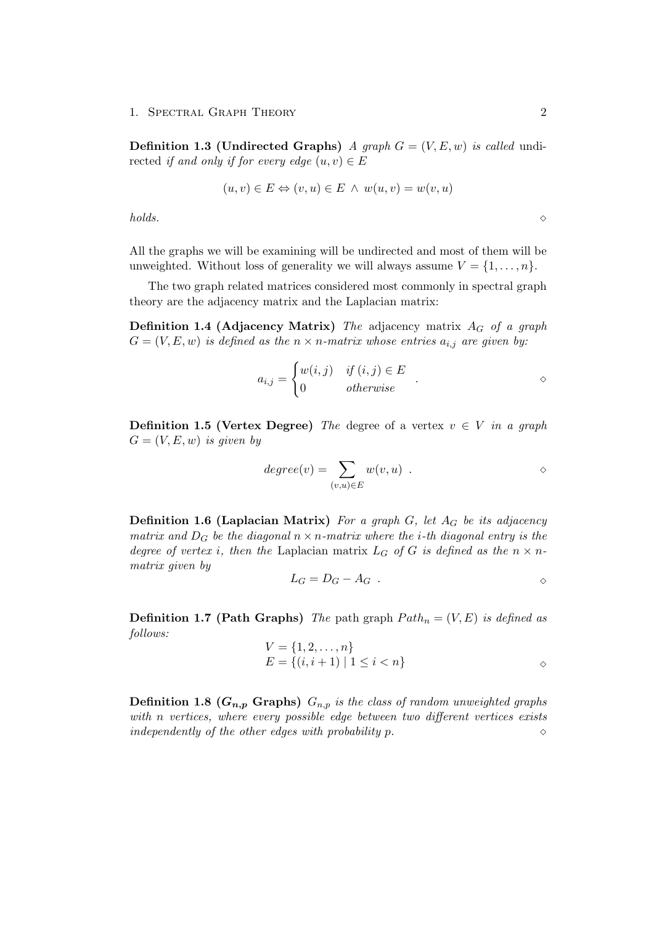#### 1. SPECTRAL GRAPH THEORY 2

**Definition 1.3 (Undirected Graphs)** A graph  $G = (V, E, w)$  is called undirected if and only if for every edge  $(u, v) \in E$ 

$$
(u, v) \in E \Leftrightarrow (v, u) \in E \ \land \ w(u, v) = w(v, u)
$$

 $holds.$   $\Diamond$ 

All the graphs we will be examining will be undirected and most of them will be unweighted. Without loss of generality we will always assume  $V = \{1, \ldots, n\}.$ 

The two graph related matrices considered most commonly in spectral graph theory are the adjacency matrix and the Laplacian matrix:

**Definition 1.4 (Adjacency Matrix)** The adjacency matrix  $A_G$  of a graph  $G = (V, E, w)$  is defined as the  $n \times n$ -matrix whose entries  $a_{i,j}$  are given by:

$$
a_{i,j} = \begin{cases} w(i,j) & \text{if } (i,j) \in E \\ 0 & \text{otherwise} \end{cases} .
$$

**Definition 1.5 (Vertex Degree)** The degree of a vertex  $v \in V$  in a graph  $G = (V, E, w)$  is given by

$$
degree(v) = \sum_{(v,u) \in E} w(v,u) .
$$

**Definition 1.6 (Laplacian Matrix)** For a graph G, let  $A_G$  be its adjacency matrix and  $D_G$  be the diagonal  $n \times n$ -matrix where the *i*-th diagonal entry is the degree of vertex i, then the Laplacian matrix  $L_G$  of G is defined as the  $n \times n$ matrix given by

$$
L_G = D_G - A_G \quad .
$$

**Definition 1.7 (Path Graphs)** The path graph  $Path_n = (V, E)$  is defined as follows:

$$
V = \{1, 2, ..., n\}
$$
  
\n
$$
E = \{(i, i + 1) | 1 \le i < n\}
$$

**Definition 1.8 (** $G_{n,p}$  **Graphs)**  $G_{n,p}$  is the class of random unweighted graphs with n vertices, where every possible edge between two different vertices exists independently of the other edges with probability  $p$ .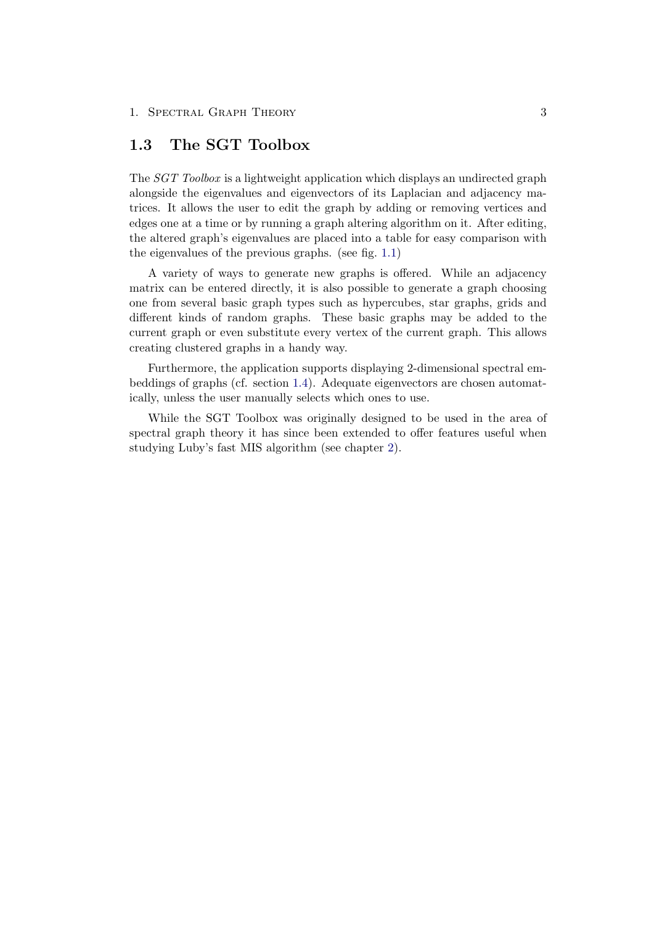## <span id="page-6-0"></span>1.3 The SGT Toolbox

The SGT Toolbox is a lightweight application which displays an undirected graph alongside the eigenvalues and eigenvectors of its Laplacian and adjacency matrices. It allows the user to edit the graph by adding or removing vertices and edges one at a time or by running a graph altering algorithm on it. After editing, the altered graph's eigenvalues are placed into a table for easy comparison with the eigenvalues of the previous graphs. (see fig. [1.1\)](#page-7-1)

A variety of ways to generate new graphs is offered. While an adjacency matrix can be entered directly, it is also possible to generate a graph choosing one from several basic graph types such as hypercubes, star graphs, grids and different kinds of random graphs. These basic graphs may be added to the current graph or even substitute every vertex of the current graph. This allows creating clustered graphs in a handy way.

Furthermore, the application supports displaying 2-dimensional spectral embeddings of graphs (cf. section [1.4\)](#page-7-0). Adequate eigenvectors are chosen automatically, unless the user manually selects which ones to use.

While the SGT Toolbox was originally designed to be used in the area of spectral graph theory it has since been extended to offer features useful when studying Luby's fast MIS algorithm (see chapter [2\)](#page-11-0).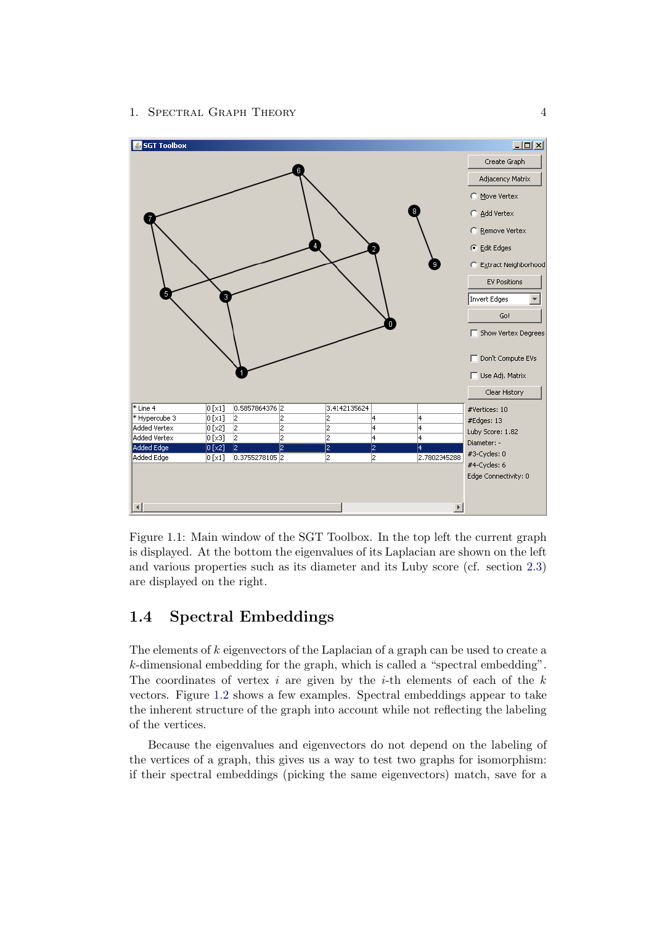#### 1. SPECTRAL GRAPH THEORY 4



<span id="page-7-1"></span>Figure 1.1: Main window of the SGT Toolbox. In the top left the current graph is displayed. At the bottom the eigenvalues of its Laplacian are shown on the left and various properties such as its diameter and its Luby score (cf. section [2.3\)](#page-12-0) are displayed on the right.

## <span id="page-7-0"></span>1.4 Spectral Embeddings

The elements of k eigenvectors of the Laplacian of a graph can be used to create a k-dimensional embedding for the graph, which is called a "spectral embedding". The coordinates of vertex i are given by the i-th elements of each of the  $k$ vectors. Figure [1.2](#page-8-1) shows a few examples. Spectral embeddings appear to take the inherent structure of the graph into account while not reflecting the labeling of the vertices.

Because the eigenvalues and eigenvectors do not depend on the labeling of the vertices of a graph, this gives us a way to test two graphs for isomorphism: if their spectral embeddings (picking the same eigenvectors) match, save for a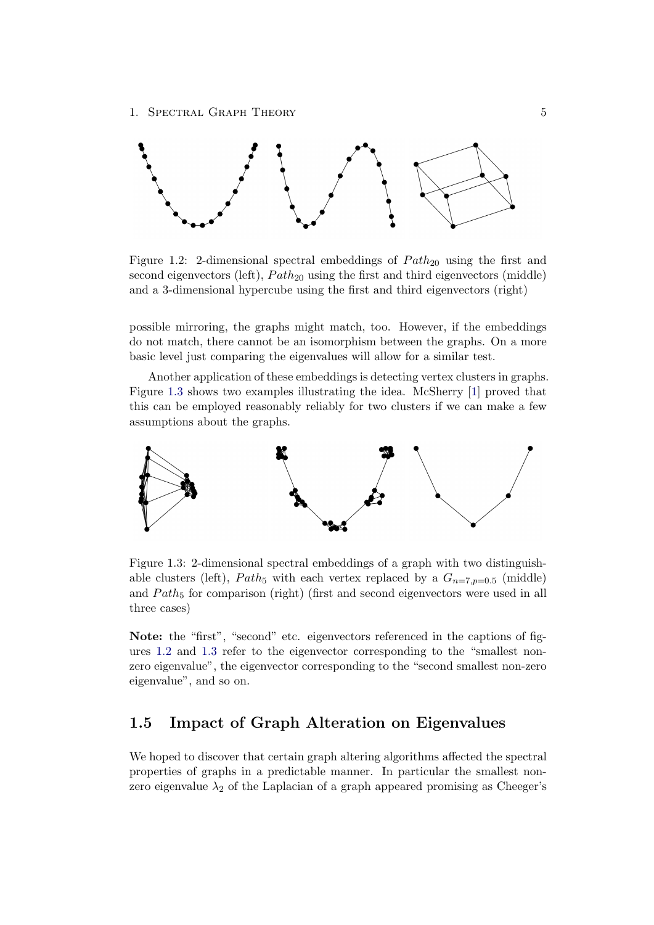

<span id="page-8-1"></span>Figure 1.2: 2-dimensional spectral embeddings of  $Path_{20}$  using the first and second eigenvectors (left),  $Path_{20}$  using the first and third eigenvectors (middle) and a 3-dimensional hypercube using the first and third eigenvectors (right)

possible mirroring, the graphs might match, too. However, if the embeddings do not match, there cannot be an isomorphism between the graphs. On a more basic level just comparing the eigenvalues will allow for a similar test.

Another application of these embeddings is detecting vertex clusters in graphs. Figure [1.3](#page-8-2) shows two examples illustrating the idea. McSherry [\[1\]](#page-21-1) proved that this can be employed reasonably reliably for two clusters if we can make a few assumptions about the graphs.



<span id="page-8-2"></span>Figure 1.3: 2-dimensional spectral embeddings of a graph with two distinguishable clusters (left), Path<sub>5</sub> with each vertex replaced by a  $G_{n=7,p=0.5}$  (middle) and  $Path_5$  for comparison (right) (first and second eigenvectors were used in all three cases)

Note: the "first", "second" etc. eigenvectors referenced in the captions of figures [1.2](#page-8-1) and [1.3](#page-8-2) refer to the eigenvector corresponding to the "smallest nonzero eigenvalue", the eigenvector corresponding to the "second smallest non-zero eigenvalue", and so on.

## <span id="page-8-0"></span>1.5 Impact of Graph Alteration on Eigenvalues

We hoped to discover that certain graph altering algorithms affected the spectral properties of graphs in a predictable manner. In particular the smallest nonzero eigenvalue  $\lambda_2$  of the Laplacian of a graph appeared promising as Cheeger's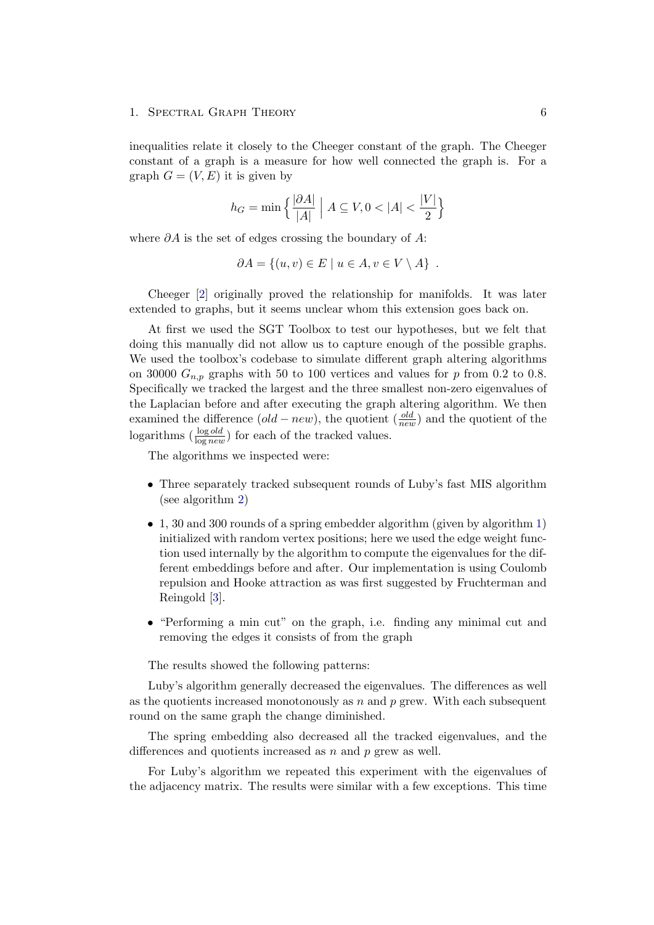#### 1. SPECTRAL GRAPH THEORY 6

inequalities relate it closely to the Cheeger constant of the graph. The Cheeger constant of a graph is a measure for how well connected the graph is. For a graph  $G = (V, E)$  it is given by

$$
h_G = \min\left\{ \frac{|\partial A|}{|A|} \middle| A \subseteq V, 0 < |A| < \frac{|V|}{2} \right\}
$$

where  $\partial A$  is the set of edges crossing the boundary of A:

$$
\partial A = \{(u, v) \in E \mid u \in A, v \in V \setminus A\} .
$$

Cheeger [\[2\]](#page-21-2) originally proved the relationship for manifolds. It was later extended to graphs, but it seems unclear whom this extension goes back on.

At first we used the SGT Toolbox to test our hypotheses, but we felt that doing this manually did not allow us to capture enough of the possible graphs. We used the toolbox's codebase to simulate different graph altering algorithms on 30000  $G_{n,p}$  graphs with 50 to 100 vertices and values for p from 0.2 to 0.8. Specifically we tracked the largest and the three smallest non-zero eigenvalues of the Laplacian before and after executing the graph altering algorithm. We then examined the difference  $(\text{old}-\text{new})$ , the quotient  $\left(\frac{\text{old}}{\text{new}}\right)$  and the quotient of the logarithms  $\left(\frac{\log old}{\log new}\right)$  for each of the tracked values.

The algorithms we inspected were:

- Three separately tracked subsequent rounds of Luby's fast MIS algorithm (see algorithm [2\)](#page-12-1)
- 1, 30 and 300 rounds of a spring embedder algorithm (given by algorithm [1\)](#page-10-0) initialized with random vertex positions; here we used the edge weight function used internally by the algorithm to compute the eigenvalues for the different embeddings before and after. Our implementation is using Coulomb repulsion and Hooke attraction as was first suggested by Fruchterman and Reingold [\[3\]](#page-21-3).
- "Performing a min cut" on the graph, i.e. finding any minimal cut and removing the edges it consists of from the graph

The results showed the following patterns:

Luby's algorithm generally decreased the eigenvalues. The differences as well as the quotients increased monotonously as  $n$  and  $p$  grew. With each subsequent round on the same graph the change diminished.

The spring embedding also decreased all the tracked eigenvalues, and the differences and quotients increased as n and p grew as well.

For Luby's algorithm we repeated this experiment with the eigenvalues of the adjacency matrix. The results were similar with a few exceptions. This time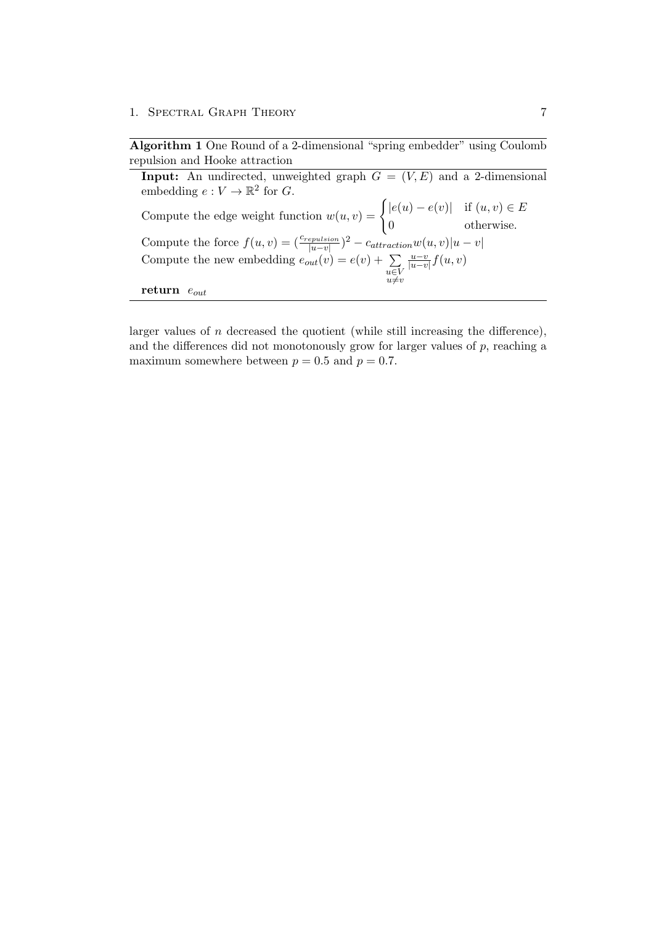1. SPECTRAL GRAPH THEORY 7

<span id="page-10-0"></span>Algorithm 1 One Round of a 2-dimensional "spring embedder" using Coulomb repulsion and Hooke attraction

**Input:** An undirected, unweighted graph  $G = (V, E)$  and a 2-dimensional embedding  $e: V \to \mathbb{R}^2$  for G. Compute the edge weight function  $w(u, v) = \begin{cases} |e(u) - e(v)| & \text{if } (u, v) \in E \\ 0 & \text{if } (u, v) \in E \end{cases}$ 0 otherwise. Compute the force  $f(u, v) = \left(\frac{c_{repulsion}}{|u-v|}\right)^2 - c_{attraction}w(u, v)|u - v|$ Compute the new embedding  $e_{out}(v) = e(v) + \sum$  $u \in V$ <br> $u \neq v$  $u-v$  $\frac{u-v}{|u-v|}f(u,v)$ return  $e_{out}$ 

larger values of  $n$  decreased the quotient (while still increasing the difference), and the differences did not monotonously grow for larger values of  $p$ , reaching a maximum somewhere between  $p = 0.5$  and  $p = 0.7$ .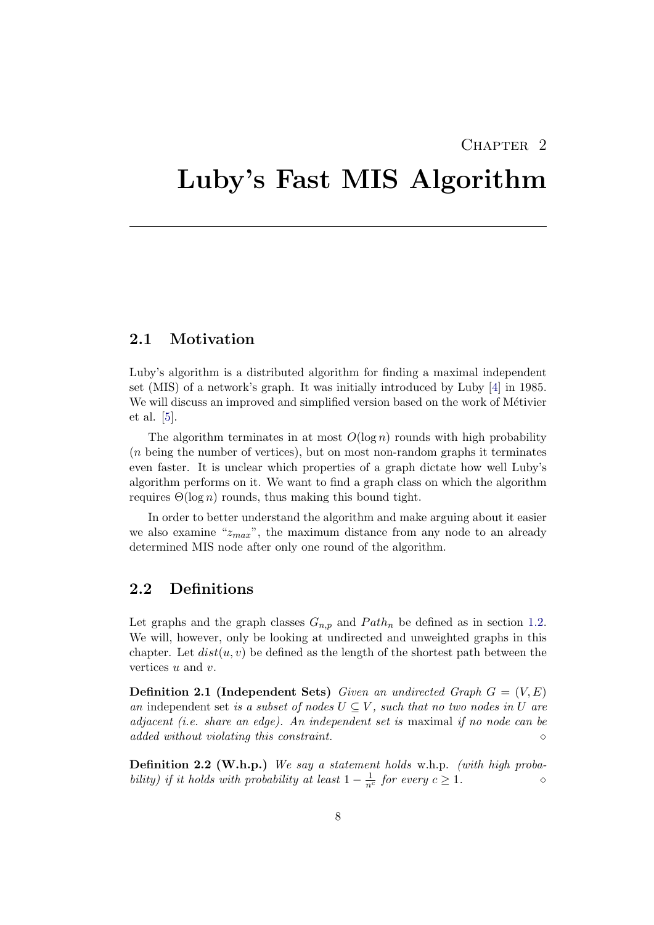## CHAPTER<sub>2</sub>

## <span id="page-11-0"></span>Luby's Fast MIS Algorithm

### <span id="page-11-1"></span>2.1 Motivation

Luby's algorithm is a distributed algorithm for finding a maximal independent set (MIS) of a network's graph. It was initially introduced by Luby [\[4\]](#page-21-4) in 1985. We will discuss an improved and simplified version based on the work of Métivier et al. [\[5\]](#page-21-5).

The algorithm terminates in at most  $O(\log n)$  rounds with high probability (n being the number of vertices), but on most non-random graphs it terminates even faster. It is unclear which properties of a graph dictate how well Luby's algorithm performs on it. We want to find a graph class on which the algorithm requires  $\Theta(\log n)$  rounds, thus making this bound tight.

In order to better understand the algorithm and make arguing about it easier we also examine " $z_{max}$ ", the maximum distance from any node to an already determined MIS node after only one round of the algorithm.

## <span id="page-11-2"></span>2.2 Definitions

Let graphs and the graph classes  $G_{n,p}$  and  $Path_n$  be defined as in section [1.2.](#page-4-2) We will, however, only be looking at undirected and unweighted graphs in this chapter. Let  $dist(u, v)$  be defined as the length of the shortest path between the vertices u and v.

**Definition 2.1 (Independent Sets)** Given an undirected Graph  $G = (V, E)$ an independent set is a subset of nodes  $U \subseteq V$ , such that no two nodes in U are adjacent (i.e. share an edge). An independent set is maximal if no node can be  $\alpha$  added without violating this constraint.  $\Diamond$ 

Definition 2.2 (W.h.p.) We say a statement holds w.h.p. (with high probability) if it holds with probability at least  $1 - \frac{1}{n^c}$  for every  $c \ge 1$ .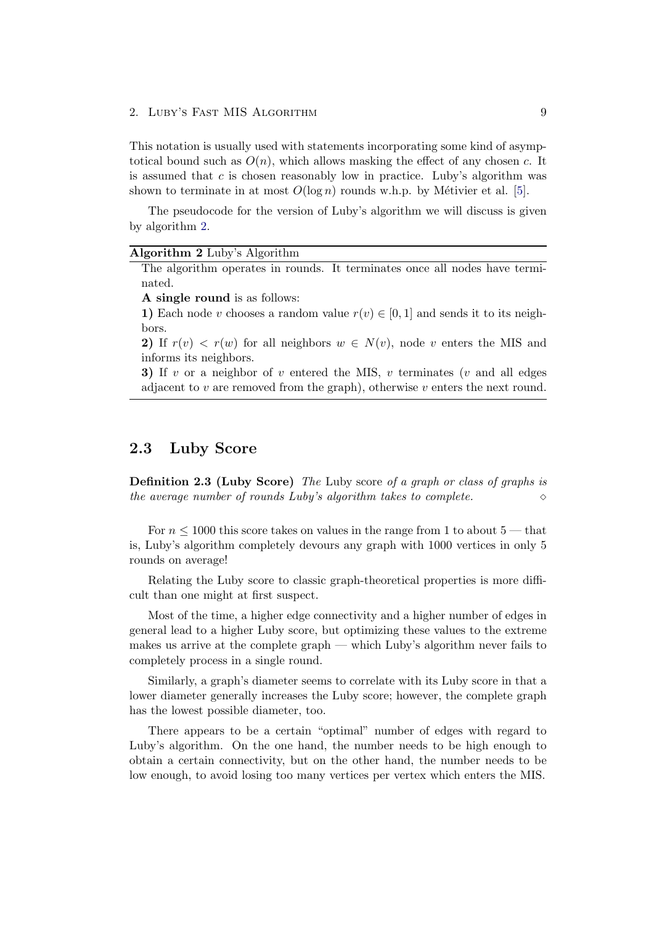This notation is usually used with statements incorporating some kind of asymptotical bound such as  $O(n)$ , which allows masking the effect of any chosen c. It is assumed that  $c$  is chosen reasonably low in practice. Luby's algorithm was shown to terminate in at most  $O(\log n)$  rounds w.h.p. by Métivier et al. [\[5\]](#page-21-5).

The pseudocode for the version of Luby's algorithm we will discuss is given by algorithm [2.](#page-12-1)

#### <span id="page-12-1"></span>Algorithm 2 Luby's Algorithm

The algorithm operates in rounds. It terminates once all nodes have terminated.

A single round is as follows:

1) Each node v chooses a random value  $r(v) \in [0, 1]$  and sends it to its neighbors.

2) If  $r(v) < r(w)$  for all neighbors  $w \in N(v)$ , node v enters the MIS and informs its neighbors.

3) If v or a neighbor of v entered the MIS, v terminates (v and all edges adjacent to  $v$  are removed from the graph), otherwise  $v$  enters the next round.

### <span id="page-12-0"></span>2.3 Luby Score

Definition 2.3 (Luby Score) The Luby score of a graph or class of graphs is the average number of rounds Luby's algorithm takes to complete.  $\Diamond$ 

For  $n \leq 1000$  this score takes on values in the range from 1 to about 5 — that is, Luby's algorithm completely devours any graph with 1000 vertices in only 5 rounds on average!

Relating the Luby score to classic graph-theoretical properties is more difficult than one might at first suspect.

Most of the time, a higher edge connectivity and a higher number of edges in general lead to a higher Luby score, but optimizing these values to the extreme makes us arrive at the complete graph — which Luby's algorithm never fails to completely process in a single round.

Similarly, a graph's diameter seems to correlate with its Luby score in that a lower diameter generally increases the Luby score; however, the complete graph has the lowest possible diameter, too.

There appears to be a certain "optimal" number of edges with regard to Luby's algorithm. On the one hand, the number needs to be high enough to obtain a certain connectivity, but on the other hand, the number needs to be low enough, to avoid losing too many vertices per vertex which enters the MIS.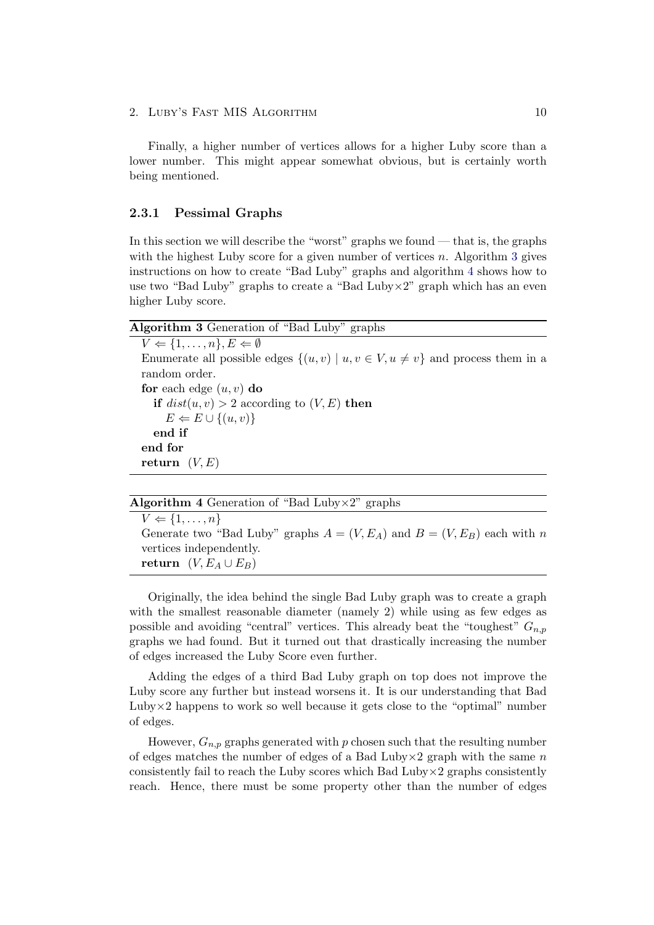Finally, a higher number of vertices allows for a higher Luby score than a lower number. This might appear somewhat obvious, but is certainly worth being mentioned.

#### <span id="page-13-0"></span>2.3.1 Pessimal Graphs

In this section we will describe the "worst" graphs we found — that is, the graphs with the highest Luby score for a given number of vertices n. Algorithm [3](#page-13-1) gives instructions on how to create "Bad Luby" graphs and algorithm [4](#page-13-2) shows how to use two "Bad Luby" graphs to create a "Bad Luby $\times 2$ " graph which has an even higher Luby score.

#### <span id="page-13-1"></span>Algorithm 3 Generation of "Bad Luby" graphs

 $V \Leftarrow \{1, \ldots, n\}, E \Leftarrow \emptyset$ Enumerate all possible edges  $\{(u, v) | u, v \in V, u \neq v\}$  and process them in a random order. for each edge  $(u, v)$  do if  $dist(u, v) > 2$  according to  $(V, E)$  then  $E \Leftarrow E \cup \{(u, v)\}\$ end if end for return  $(V, E)$ 

<span id="page-13-2"></span>

| <b>Algorithm 4</b> Generation of "Bad Luby $\times 2$ " graphs |  |  |  |  |  |  |
|----------------------------------------------------------------|--|--|--|--|--|--|
|----------------------------------------------------------------|--|--|--|--|--|--|

 $V \Leftarrow \{1, \ldots, n\}$ Generate two "Bad Luby" graphs  $A = (V, E_A)$  and  $B = (V, E_B)$  each with n vertices independently. return  $(V, E_A \cup E_B)$ 

Originally, the idea behind the single Bad Luby graph was to create a graph with the smallest reasonable diameter (namely 2) while using as few edges as possible and avoiding "central" vertices. This already beat the "toughest"  $G_{n,p}$ graphs we had found. But it turned out that drastically increasing the number of edges increased the Luby Score even further.

Adding the edges of a third Bad Luby graph on top does not improve the Luby score any further but instead worsens it. It is our understanding that Bad Luby $\times$ 2 happens to work so well because it gets close to the "optimal" number of edges.

However,  $G_{n,p}$  graphs generated with p chosen such that the resulting number of edges matches the number of edges of a Bad Luby $\times$ 2 graph with the same n consistently fail to reach the Luby scores which Bad Luby $\times$ 2 graphs consistently reach. Hence, there must be some property other than the number of edges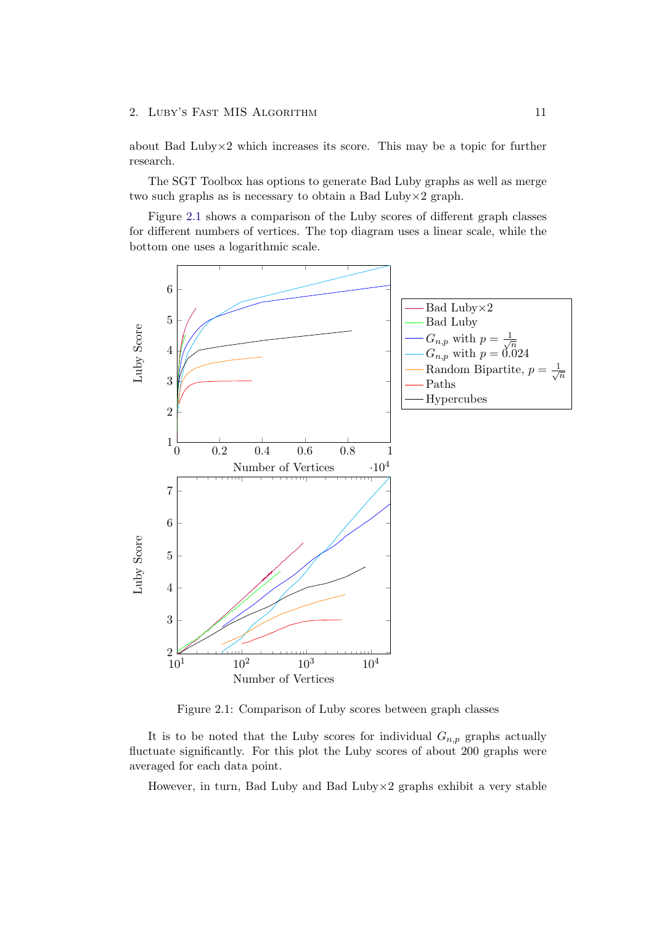about Bad Luby $\times$ 2 which increases its score. This may be a topic for further research.

The SGT Toolbox has options to generate Bad Luby graphs as well as merge two such graphs as is necessary to obtain a Bad Luby×2 graph.

Figure [2.1](#page-14-0) shows a comparison of the Luby scores of different graph classes for different numbers of vertices. The top diagram uses a linear scale, while the bottom one uses a logarithmic scale.



<span id="page-14-0"></span>Figure 2.1: Comparison of Luby scores between graph classes

It is to be noted that the Luby scores for individual  $G_{n,p}$  graphs actually fluctuate significantly. For this plot the Luby scores of about 200 graphs were averaged for each data point.

However, in turn, Bad Luby and Bad Luby $\times$ 2 graphs exhibit a very stable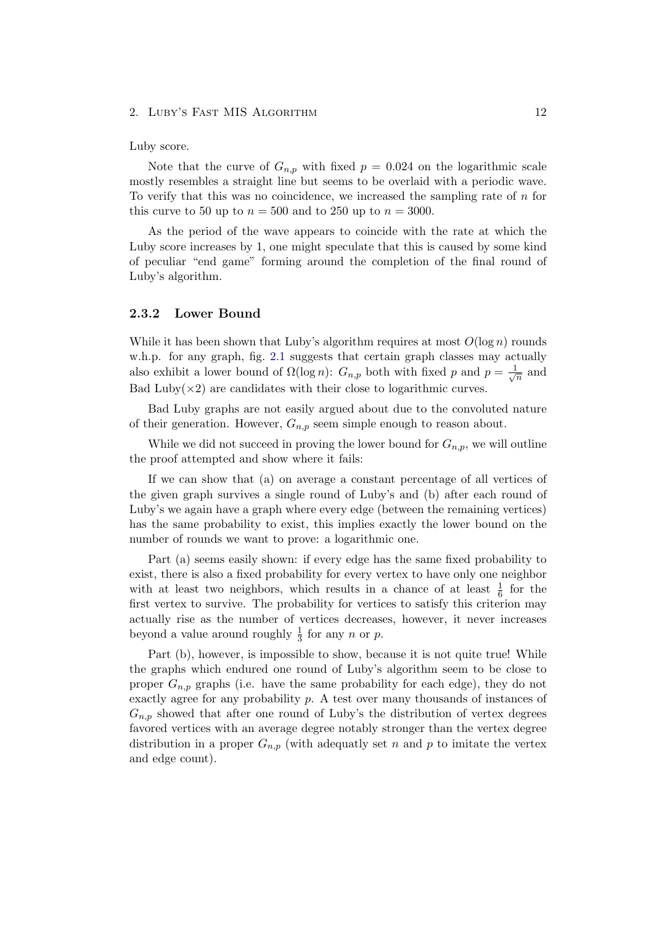#### Luby score.

Note that the curve of  $G_{n,p}$  with fixed  $p = 0.024$  on the logarithmic scale mostly resembles a straight line but seems to be overlaid with a periodic wave. To verify that this was no coincidence, we increased the sampling rate of n for this curve to 50 up to  $n = 500$  and to 250 up to  $n = 3000$ .

As the period of the wave appears to coincide with the rate at which the Luby score increases by 1, one might speculate that this is caused by some kind of peculiar "end game" forming around the completion of the final round of Luby's algorithm.

#### <span id="page-15-0"></span>2.3.2 Lower Bound

While it has been shown that Luby's algorithm requires at most  $O(\log n)$  rounds w.h.p. for any graph, fig. [2.1](#page-14-0) suggests that certain graph classes may actually also exhibit a lower bound of  $\Omega(\log n)$ :  $G_{n,p}$  both with fixed p and  $p = \frac{1}{\sqrt{n}}$  $\frac{1}{n}$  and Bad Luby $(x2)$  are candidates with their close to logarithmic curves.

Bad Luby graphs are not easily argued about due to the convoluted nature of their generation. However,  $G_{n,p}$  seem simple enough to reason about.

While we did not succeed in proving the lower bound for  $G_{n,p}$ , we will outline the proof attempted and show where it fails:

If we can show that (a) on average a constant percentage of all vertices of the given graph survives a single round of Luby's and (b) after each round of Luby's we again have a graph where every edge (between the remaining vertices) has the same probability to exist, this implies exactly the lower bound on the number of rounds we want to prove: a logarithmic one.

Part (a) seems easily shown: if every edge has the same fixed probability to exist, there is also a fixed probability for every vertex to have only one neighbor with at least two neighbors, which results in a chance of at least  $\frac{1}{6}$  for the first vertex to survive. The probability for vertices to satisfy this criterion may actually rise as the number of vertices decreases, however, it never increases beyond a value around roughly  $\frac{1}{3}$  for any n or p.

Part (b), however, is impossible to show, because it is not quite true! While the graphs which endured one round of Luby's algorithm seem to be close to proper  $G_{n,p}$  graphs (i.e. have the same probability for each edge), they do not exactly agree for any probability p. A test over many thousands of instances of  $G_{n,p}$  showed that after one round of Luby's the distribution of vertex degrees favored vertices with an average degree notably stronger than the vertex degree distribution in a proper  $G_{n,p}$  (with adequatly set n and p to imitate the vertex and edge count).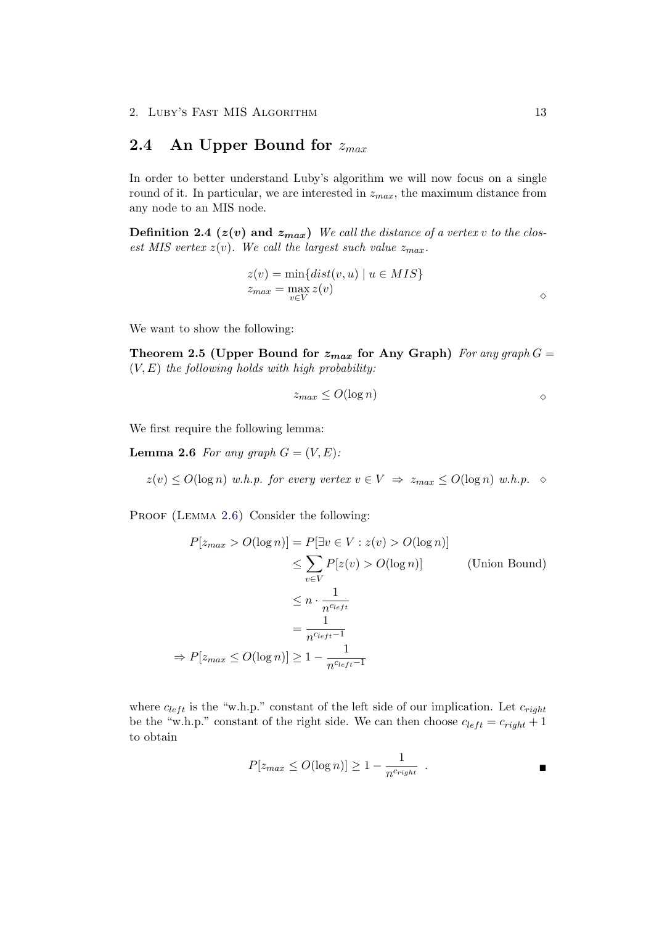## <span id="page-16-0"></span>2.4 An Upper Bound for  $z_{max}$

In order to better understand Luby's algorithm we will now focus on a single round of it. In particular, we are interested in  $z_{max}$ , the maximum distance from any node to an MIS node.

**Definition 2.4** ( $z(v)$  and  $z_{max}$ ) We call the distance of a vertex v to the closest MIS vertex  $z(v)$ . We call the largest such value  $z_{max}$ .

<span id="page-16-2"></span>
$$
z(v) = \min\{dist(v, u) \mid u \in MIS\}
$$
  

$$
z_{max} = \max_{v \in V} z(v)
$$

We want to show the following:

Theorem 2.5 (Upper Bound for  $z_{max}$  for Any Graph) For any graph  $G =$  $(V, E)$  the following holds with high probability:

<span id="page-16-1"></span>
$$
z_{max} \le O(\log n) \tag{8}
$$

We first require the following lemma:

**Lemma 2.6** For any graph  $G = (V, E)$ :

 $z(v) \leq O(\log n)$  w.h.p. for every vertex  $v \in V \implies z_{max} \leq O(\log n)$  w.h.p.  $\diamond$ 

PROOF (LEMMA [2.6\)](#page-16-1) Consider the following:

$$
P[z_{max} > O(\log n)] = P[\exists v \in V : z(v) > O(\log n)]
$$
  
\n
$$
\leq \sum_{v \in V} P[z(v) > O(\log n)] \qquad \text{(Union Bound)}
$$
  
\n
$$
\leq n \cdot \frac{1}{n^{c_{left}}}
$$
  
\n
$$
= \frac{1}{n^{c_{left}-1}}
$$
  
\n
$$
\Rightarrow P[z_{max} \leq O(\log n)] \geq 1 - \frac{1}{n^{c_{left}-1}}
$$

where  $c_{left}$  is the "w.h.p." constant of the left side of our implication. Let  $c_{right}$ be the "w.h.p." constant of the right side. We can then choose  $c_{left} = c_{right} + 1$ to obtain

$$
P[z_{max} \le O(\log n)] \ge 1 - \frac{1}{n^{c_{right}}}
$$

 $\Diamond$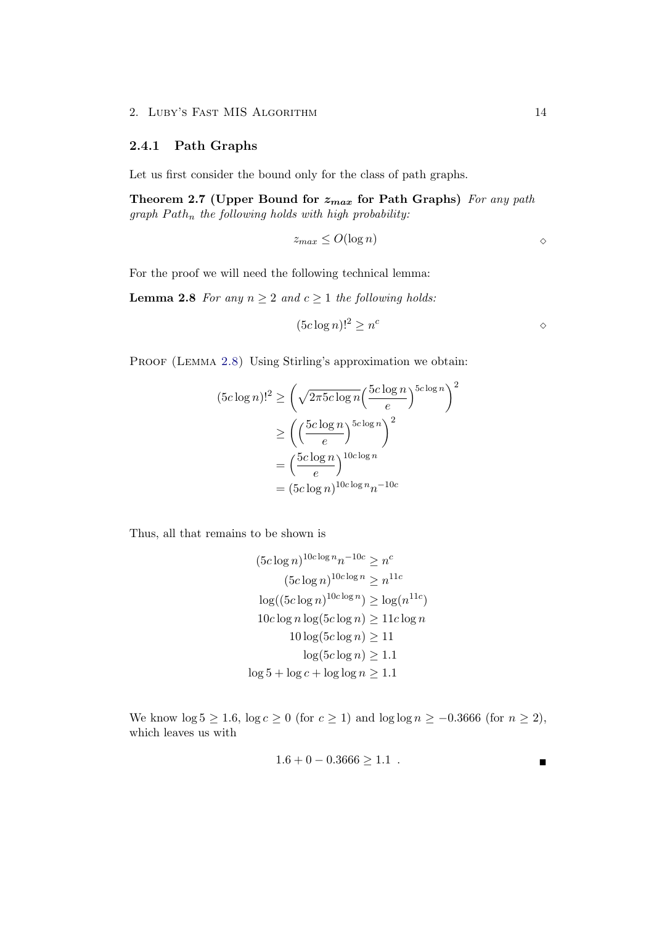#### <span id="page-17-0"></span>2.4.1 Path Graphs

Let us first consider the bound only for the class of path graphs.

Theorem 2.7 (Upper Bound for  $z_{max}$  for Path Graphs) For any path graph  $Path_n$  the following holds with high probability:

<span id="page-17-2"></span><span id="page-17-1"></span>
$$
z_{max} \le O(\log n) \qquad \qquad \diamond
$$

For the proof we will need the following technical lemma:

**Lemma 2.8** For any  $n \geq 2$  and  $c \geq 1$  the following holds:

$$
(5c\log n)!^2 \ge n^c
$$

PROOF (LEMMA [2.8\)](#page-17-1) Using Stirling's approximation we obtain:

$$
(5c \log n)!^2 \ge \left(\sqrt{2\pi 5c \log n} \left(\frac{5c \log n}{e}\right)^{5c \log n}\right)^2
$$

$$
\ge \left(\left(\frac{5c \log n}{e}\right)^{5c \log n}\right)^2
$$

$$
= \left(\frac{5c \log n}{e}\right)^{10c \log n}
$$

$$
= (5c \log n)^{10c \log n} n^{-10c}
$$

Thus, all that remains to be shown is

$$
(5c \log n)^{10c \log n} n^{-10c} \ge n^c
$$

$$
(5c \log n)^{10c \log n} \ge n^{11c}
$$

$$
\log((5c \log n)^{10c \log n}) \ge \log(n^{11c})
$$

$$
10c \log n \log(5c \log n) \ge 11c \log n
$$

$$
10 \log(5c \log n) \ge 11
$$

$$
\log(5c \log n) \ge 1.1
$$

$$
\log 5 + \log c + \log \log n \ge 1.1
$$

We know  $\log 5 \ge 1.6$ ,  $\log c \ge 0$  (for  $c \ge 1$ ) and  $\log \log n \ge -0.3666$  (for  $n \ge 2$ ), which leaves us with

$$
1.6 + 0 - 0.3666 \ge 1.1
$$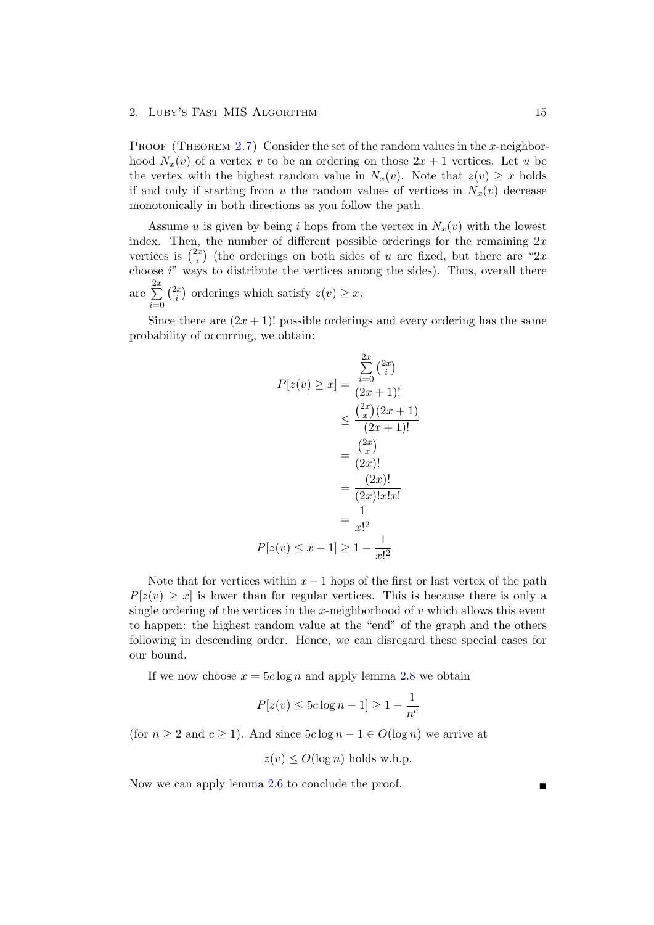PROOF (THEOREM [2.7\)](#page-17-2) Consider the set of the random values in the x-neighborhood  $N_x(v)$  of a vertex v to be an ordering on those  $2x + 1$  vertices. Let u be the vertex with the highest random value in  $N_x(v)$ . Note that  $z(v) \geq x$  holds if and only if starting from u the random values of vertices in  $N_x(v)$  decrease monotonically in both directions as you follow the path.

Assume u is given by being i hops from the vertex in  $N_x(v)$  with the lowest index. Then, the number of different possible orderings for the remaining  $2x$ vertices is  $\binom{2x}{i}$  $\binom{dx}{i}$  (the orderings on both sides of u are fixed, but there are "2x") choose i" ways to distribute the vertices among the sides). Thus, overall there are  $\sum_{ }^{2x}$  $i=0$  $\binom{2x}{i}$  $\sum_{i=1}^{x}$  orderings which satisfy  $z(v) \geq x$ .

Since there are  $(2x+1)!$  possible orderings and every ordering has the same probability of occurring, we obtain:

$$
P[z(v) \ge x] = \frac{\sum_{i=0}^{2x} {2x \choose i}}{(2x+1)!}
$$
  

$$
\le \frac{{2x \choose x} (2x+1)}{(2x+1)!}
$$
  

$$
= \frac{{2x \choose x}}{(2x)!}
$$
  

$$
= \frac{(2x)!}{(2x)!x!x!}
$$
  

$$
= \frac{1}{x!^2}
$$
  

$$
P[z(v) \le x - 1] \ge 1 - \frac{1}{x!^2}
$$

Note that for vertices within  $x - 1$  hops of the first or last vertex of the path  $P[z(v) \geq x]$  is lower than for regular vertices. This is because there is only a single ordering of the vertices in the x-neighborhood of  $v$  which allows this event to happen: the highest random value at the "end" of the graph and the others following in descending order. Hence, we can disregard these special cases for our bound.

If we now choose  $x = 5c \log n$  and apply lemma [2.8](#page-17-1) we obtain

$$
P[z(v) \leq 5c\log n - 1] \geq 1 - \frac{1}{n^c}
$$

(for  $n \geq 2$  and  $c \geq 1$ ). And since  $5c \log n - 1 \in O(\log n)$  we arrive at

$$
z(v) \leq O(\log n)
$$
 holds w.h.p.

Now we can apply lemma [2.6](#page-16-1) to conclude the proof.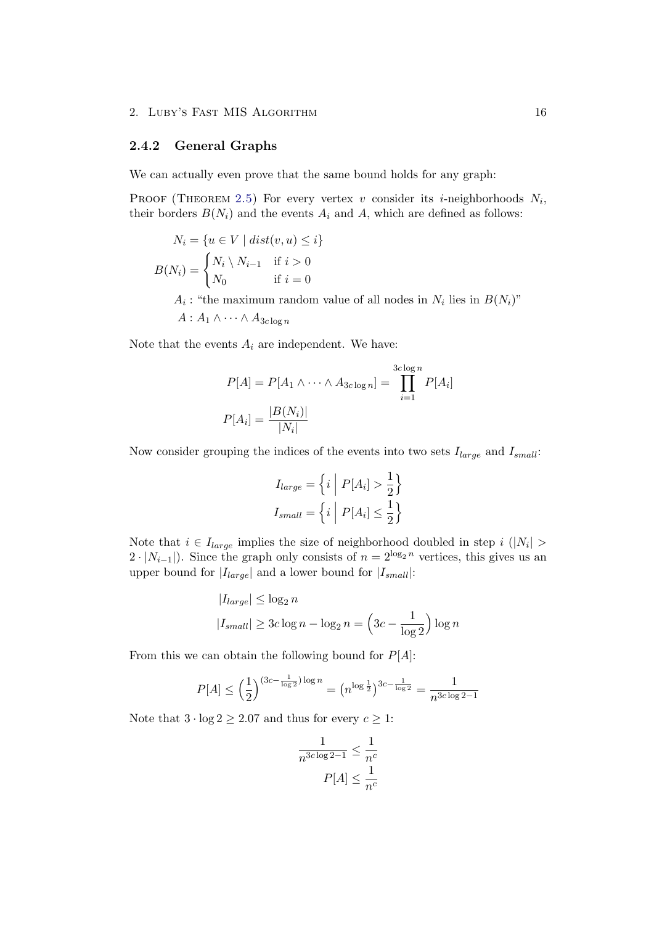### <span id="page-19-0"></span>2.4.2 General Graphs

We can actually even prove that the same bound holds for any graph:

PROOF (THEOREM [2.5\)](#page-16-2) For every vertex v consider its *i*-neighborhoods  $N_i$ , their borders  $B(N_i)$  and the events  $A_i$  and  $A$ , which are defined as follows:

$$
N_i = \{ u \in V \mid dist(v, u) \le i \}
$$

$$
B(N_i) = \begin{cases} N_i \setminus N_{i-1} & \text{if } i > 0 \\ N_0 & \text{if } i = 0 \end{cases}
$$

 $A_i$ : "the maximum random value of all nodes in  $N_i$  lies in  $B(N_i)$ "  $A : A_1 \wedge \cdots \wedge A_{3c \log n}$ 

Note that the events  $A_i$  are independent. We have:

$$
P[A] = P[A_1 \wedge \cdots \wedge A_{3c \log n}] = \prod_{i=1}^{3c \log n} P[A_i]
$$

$$
P[A_i] = \frac{|B(N_i)|}{|N_i|}
$$

Now consider grouping the indices of the events into two sets  $I_{large}$  and  $I_{small}$ :

$$
I_{large} = \left\{ i \middle| P[A_i] > \frac{1}{2} \right\}
$$

$$
I_{small} = \left\{ i \middle| P[A_i] \le \frac{1}{2} \right\}
$$

Note that  $i \in I_{large}$  implies the size of neighborhood doubled in step  $i \in |N_i| >$  $2 \cdot |N_{i-1}|$ ). Since the graph only consists of  $n = 2^{\log_2 n}$  vertices, this gives us an upper bound for  $|I_{large}|$  and a lower bound for  $|I_{small}|$ :

$$
|I_{large}| \le \log_2 n
$$
  

$$
|I_{small}| \ge 3c \log n - \log_2 n = \left(3c - \frac{1}{\log 2}\right) \log n
$$

From this we can obtain the following bound for  $P[A]$ :

$$
P[A] \le \left(\frac{1}{2}\right)^{(3c - \frac{1}{\log 2})\log n} = \left(n^{\log \frac{1}{2}}\right)^{3c - \frac{1}{\log 2}} = \frac{1}{n^{3c \log 2 - 1}}
$$

Note that  $3 \cdot \log 2 \geq 2.07$  and thus for every  $c \geq 1$ :

$$
\frac{1}{n^{3c \log 2 - 1}} \le \frac{1}{n^c}
$$

$$
P[A] \le \frac{1}{n^c}
$$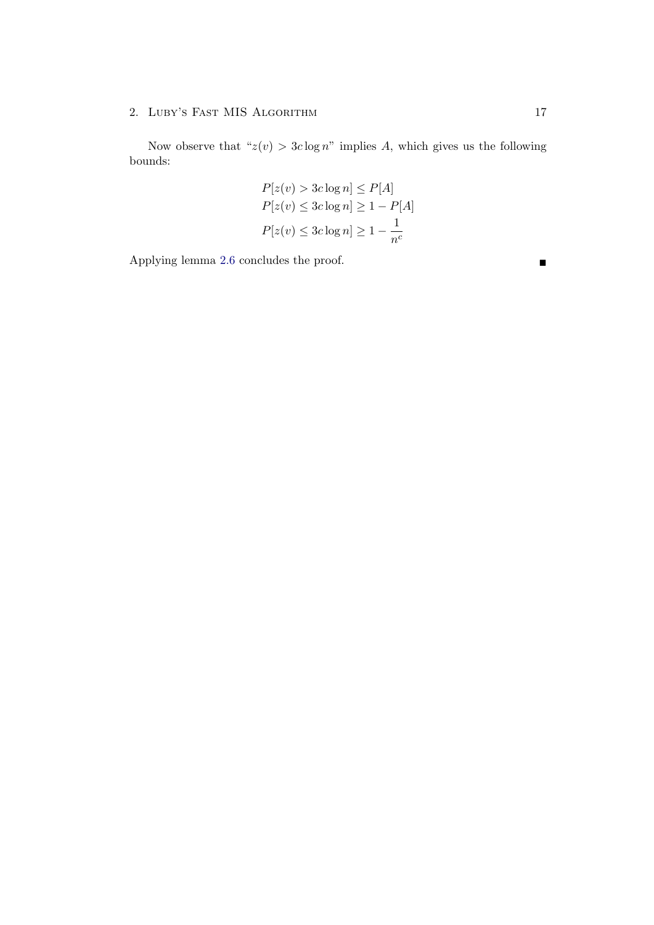Now observe that " $z(v) > 3c \log n$ " implies A, which gives us the following bounds:

$$
P[z(v) > 3c \log n] \le P[A]
$$
  
 
$$
P[z(v) \le 3c \log n] \ge 1 - P[A]
$$
  
 
$$
P[z(v) \le 3c \log n] \ge 1 - \frac{1}{n^c}
$$

Applying lemma [2.6](#page-16-1) concludes the proof.  $\blacksquare$